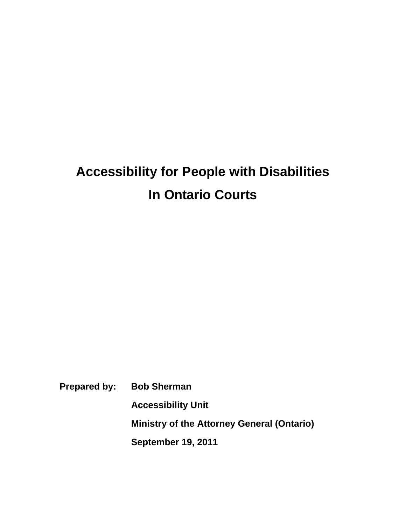# **Accessibility for People with Disabilities In Ontario Courts**

**Prepared by: Bob Sherman** 

**Accessibility Unit** 

**Ministry of the Attorney General (Ontario)** 

**September 19, 2011**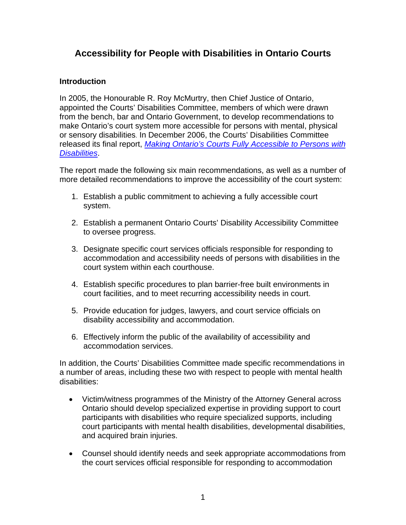## **Accessibility for People with Disabilities in Ontario Courts**

#### **Introduction**

In 2005, the Honourable R. Roy McMurtry, then Chief Justice of Ontario, appointed the Courts' Disabilities Committee, members of which were drawn from the bench, bar and Ontario Government, to develop recommendations to make Ontario's court system more accessible for persons with mental, physical or sensory disabilities. In December 2006, the Courts' Disabilities Committee released its final report, *Making Ontario's Courts Fully Accessible to Persons with Disabilities*.

The report made the following six main recommendations, as well as a number of more detailed recommendations to improve the accessibility of the court system:

- 1. Establish a public commitment to achieving a fully accessible court system.
- 2. Establish a permanent Ontario Courts' Disability Accessibility Committee to oversee progress.
- 3. Designate specific court services officials responsible for responding to accommodation and accessibility needs of persons with disabilities in the court system within each courthouse.
- 4. Establish specific procedures to plan barrier-free built environments in court facilities, and to meet recurring accessibility needs in court.
- 5. Provide education for judges, lawyers, and court service officials on disability accessibility and accommodation.
- 6. Effectively inform the public of the availability of accessibility and accommodation services.

In addition, the Courts' Disabilities Committee made specific recommendations in a number of areas, including these two with respect to people with mental health disabilities:

- Victim/witness programmes of the Ministry of the Attorney General across Ontario should develop specialized expertise in providing support to court participants with disabilities who require specialized supports, including court participants with mental health disabilities, developmental disabilities, and acquired brain injuries.
- Counsel should identify needs and seek appropriate accommodations from the court services official responsible for responding to accommodation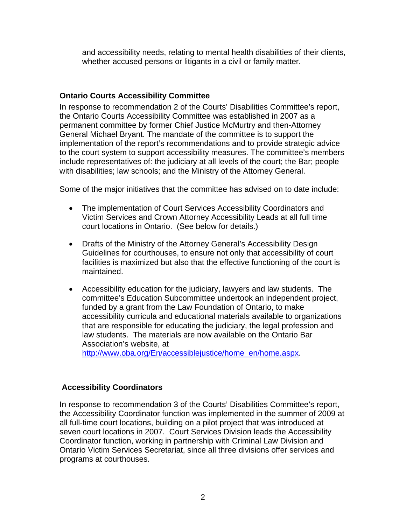and accessibility needs, relating to mental health disabilities of their clients, whether accused persons or litigants in a civil or family matter.

#### **Ontario Courts Accessibility Committee**

In response to recommendation 2 of the Courts' Disabilities Committee's report, the Ontario Courts Accessibility Committee was established in 2007 as a permanent committee by former Chief Justice McMurtry and then-Attorney General Michael Bryant. The mandate of the committee is to support the implementation of the report's recommendations and to provide strategic advice to the court system to support accessibility measures. The committee's members include representatives of: the judiciary at all levels of the court; the Bar; people with disabilities; law schools; and the Ministry of the Attorney General.

Some of the major initiatives that the committee has advised on to date include:

- The implementation of Court Services Accessibility Coordinators and Victim Services and Crown Attorney Accessibility Leads at all full time court locations in Ontario. (See below for details.)
- Drafts of the Ministry of the Attorney General's Accessibility Design Guidelines for courthouses, to ensure not only that accessibility of court facilities is maximized but also that the effective functioning of the court is maintained.
- Accessibility education for the judiciary, lawyers and law students. The committee's Education Subcommittee undertook an independent project, funded by a grant from the Law Foundation of Ontario, to make accessibility curricula and educational materials available to organizations that are responsible for educating the judiciary, the legal profession and law students. The materials are now available on the Ontario Bar Association's website, at

http://www.oba.org/En/accessiblejustice/home\_en/home.aspx.

#### **Accessibility Coordinators**

In response to recommendation 3 of the Courts' Disabilities Committee's report, the Accessibility Coordinator function was implemented in the summer of 2009 at all full-time court locations, building on a pilot project that was introduced at seven court locations in 2007. Court Services Division leads the Accessibility Coordinator function, working in partnership with Criminal Law Division and Ontario Victim Services Secretariat, since all three divisions offer services and programs at courthouses.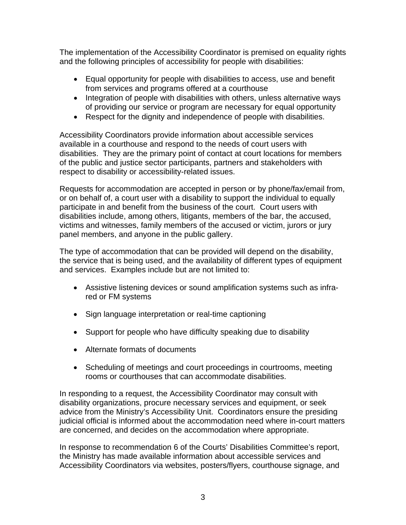The implementation of the Accessibility Coordinator is premised on equality rights and the following principles of accessibility for people with disabilities:

- Equal opportunity for people with disabilities to access, use and benefit from services and programs offered at a courthouse
- Integration of people with disabilities with others, unless alternative ways of providing our service or program are necessary for equal opportunity
- Respect for the dignity and independence of people with disabilities.

Accessibility Coordinators provide information about accessible services available in a courthouse and respond to the needs of court users with disabilities. They are the primary point of contact at court locations for members of the public and justice sector participants, partners and stakeholders with respect to disability or accessibility-related issues.

Requests for accommodation are accepted in person or by phone/fax/email from, or on behalf of, a court user with a disability to support the individual to equally participate in and benefit from the business of the court. Court users with disabilities include, among others, litigants, members of the bar, the accused, victims and witnesses, family members of the accused or victim, jurors or jury panel members, and anyone in the public gallery.

The type of accommodation that can be provided will depend on the disability, the service that is being used, and the availability of different types of equipment and services. Examples include but are not limited to:

- Assistive listening devices or sound amplification systems such as infrared or FM systems
- Sign language interpretation or real-time captioning
- Support for people who have difficulty speaking due to disability
- Alternate formats of documents
- Scheduling of meetings and court proceedings in courtrooms, meeting rooms or courthouses that can accommodate disabilities.

In responding to a request, the Accessibility Coordinator may consult with disability organizations, procure necessary services and equipment, or seek advice from the Ministry's Accessibility Unit. Coordinators ensure the presiding judicial official is informed about the accommodation need where in-court matters are concerned, and decides on the accommodation where appropriate.

In response to recommendation 6 of the Courts' Disabilities Committee's report, the Ministry has made available information about accessible services and Accessibility Coordinators via websites, posters/flyers, courthouse signage, and